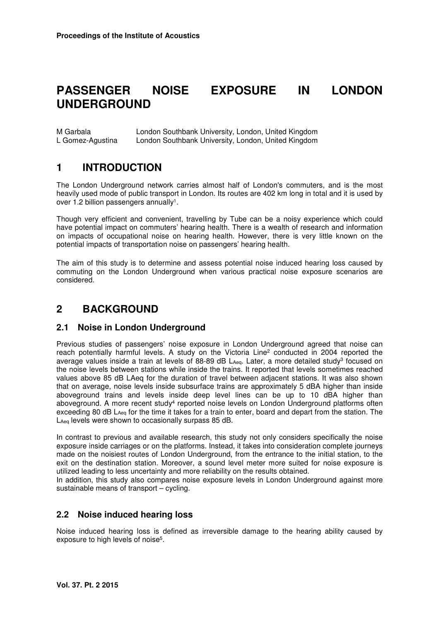# **PASSENGER NOISE EXPOSURE IN LONDON UNDERGROUND**

M Garbala London Southbank University, London, United Kingdom L Gomez-Agustina London Southbank University, London, United Kingdom

## **1 INTRODUCTION**

The London Underground network carries almost half of London's commuters, and is the most heavily used mode of public transport in London. Its routes are 402 km long in total and it is used by over 1.2 billion passengers annually<sup>1</sup>.

Though very efficient and convenient, travelling by Tube can be a noisy experience which could have potential impact on commuters' hearing health. There is a wealth of research and information on impacts of occupational noise on hearing health. However, there is very little known on the potential impacts of transportation noise on passengers' hearing health.

The aim of this study is to determine and assess potential noise induced hearing loss caused by commuting on the London Underground when various practical noise exposure scenarios are considered.

## **2 BACKGROUND**

#### **2.1 Noise in London Underground**

Previous studies of passengers' noise exposure in London Underground agreed that noise can reach potentially harmful levels. A study on the Victoria Line<sup>2</sup> conducted in 2004 reported the average values inside a train at levels of 88-89 dB LA<sub>eq</sub>. Later, a more detailed study<sup>3</sup> focused on the noise levels between stations while inside the trains. It reported that levels sometimes reached values above 85 dB LAeq for the duration of travel between adjacent stations. It was also shown that on average, noise levels inside subsurface trains are approximately 5 dBA higher than inside aboveground trains and levels inside deep level lines can be up to 10 dBA higher than aboveground. A more recent study<sup>4</sup> reported noise levels on London Underground platforms often exceeding 80 dB L<sub>Aeq</sub> for the time it takes for a train to enter, board and depart from the station. The LAeq levels were shown to occasionally surpass 85 dB.

In contrast to previous and available research, this study not only considers specifically the noise exposure inside carriages or on the platforms. Instead, it takes into consideration complete journeys made on the noisiest routes of London Underground, from the entrance to the initial station, to the exit on the destination station. Moreover, a sound level meter more suited for noise exposure is utilized leading to less uncertainty and more reliability on the results obtained.

In addition, this study also compares noise exposure levels in London Underground against more sustainable means of transport – cycling.

#### **2.2 Noise induced hearing loss**

Noise induced hearing loss is defined as irreversible damage to the hearing ability caused by exposure to high levels of noise<sup>5</sup>.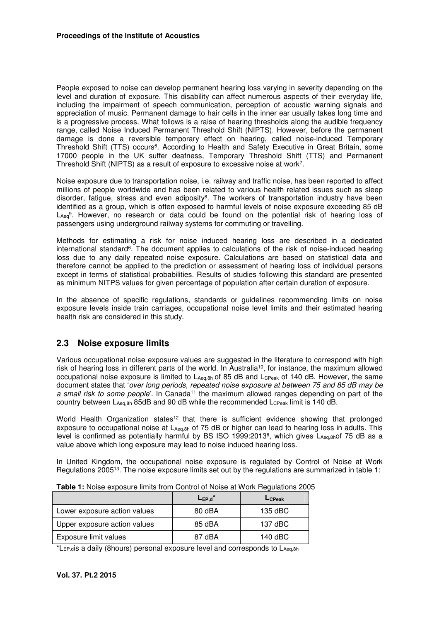People exposed to noise can develop permanent hearing loss varying in severity depending on the level and duration of exposure. This disability can affect numerous aspects of their everyday life, including the impairment of speech communication, perception of acoustic warning signals and appreciation of music. Permanent damage to hair cells in the inner ear usually takes long time and is a progressive process. What follows is a raise of hearing thresholds along the audible frequency range, called Noise Induced Permanent Threshold Shift (NIPTS). However, before the permanent damage is done a reversible temporary effect on hearing, called noise-induced Temporary Threshold Shift (TTS) occurs<sup>6</sup>. According to Health and Safety Executive in Great Britain, some 17000 people in the UK suffer deafness, Temporary Threshold Shift (TTS) and Permanent Threshold Shift (NIPTS) as a result of exposure to excessive noise at work<sup>7</sup>.

Noise exposure due to transportation noise, i.e. railway and traffic noise, has been reported to affect millions of people worldwide and has been related to various health related issues such as sleep disorder, fatigue, stress and even adiposity<sup>8</sup>. The workers of transportation industry have been identified as a group, which is often exposed to harmful levels of noise exposure exceeding 85 dB L<sub>Aeq</sub>9. However, no research or data could be found on the potential risk of hearing loss of passengers using underground railway systems for commuting or travelling.

Methods for estimating a risk for noise induced hearing loss are described in a dedicated international standard<sup>6</sup>. The document applies to calculations of the risk of noise-induced hearing loss due to any daily repeated noise exposure. Calculations are based on statistical data and therefore cannot be applied to the prediction or assessment of hearing loss of individual persons except in terms of statistical probabilities. Results of studies following this standard are presented as minimum NITPS values for given percentage of population after certain duration of exposure.

In the absence of specific regulations, standards or guidelines recommending limits on noise exposure levels inside train carriages, occupational noise level limits and their estimated hearing health risk are considered in this study.

#### **2.3 Noise exposure limits**

Various occupational noise exposure values are suggested in the literature to correspond with high risk of hearing loss in different parts of the world. In Australia<sup>10</sup>, for instance, the maximum allowed occupational noise exposure is limited to  $L_{Aeq,8h}$  of 85 dB and  $L_{CPeak}$  of 140 dB. However, the same document states that '*over long periods, repeated noise exposure at between 75 and 85 dB may be a small risk to some people*'. In Canada<sup>11</sup> the maximum allowed ranges depending on part of the country between LAeq,8h 85dB and 90 dB while the recommended LcPeak limit is 140 dB.

World Health Organization states<sup>12</sup> that there is sufficient evidence showing that prolonged exposure to occupational noise at L<sub>Aeq,8h</sub> of 75 dB or higher can lead to hearing loss in adults. This level is confirmed as potentially harmful by BS ISO 1999:2013<sup>6</sup> , which gives LAeq,8hof 75 dB as a value above which long exposure may lead to noise induced hearing loss.

In United Kingdom, the occupational noise exposure is regulated by Control of Noise at Work Regulations 2005<sup>13</sup>. The noise exposure limits set out by the regulations are summarized in table 1:

|                              | $L_{EP,d}$ | LCPeak  |
|------------------------------|------------|---------|
| Lower exposure action values | 80 dBA     | 135 dBC |
| Upper exposure action values | 85 dBA     | 137 dBC |
| Exposure limit values        | 87 dBA     | 140 dBC |

**Table 1:** Noise exposure limits from Control of Noise at Work Regulations 2005

\*LEP,dis a daily (8hours) personal exposure level and corresponds to LAeq,8h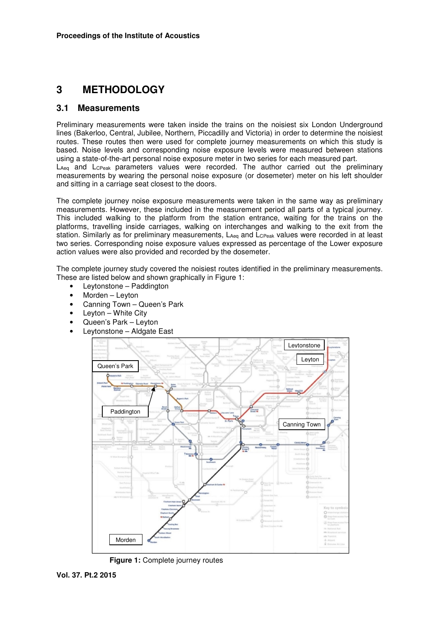## **3 METHODOLOGY**

#### **3.1 Measurements**

Preliminary measurements were taken inside the trains on the noisiest six London Underground lines (Bakerloo, Central, Jubilee, Northern, Piccadilly and Victoria) in order to determine the noisiest routes. These routes then were used for complete journey measurements on which this study is based. Noise levels and corresponding noise exposure levels were measured between stations using a state-of-the-art personal noise exposure meter in two series for each measured part. LAeg and LCPeak parameters values were recorded. The author carried out the preliminary measurements by wearing the personal noise exposure (or dosemeter) meter on his left shoulder and sitting in a carriage seat closest to the doors.

The complete journey noise exposure measurements were taken in the same way as preliminary measurements. However, these included in the measurement period all parts of a typical journey. This included walking to the platform from the station entrance, waiting for the trains on the platforms, travelling inside carriages, walking on interchanges and walking to the exit from the station. Similarly as for preliminary measurements, LAeq and LCPeak values were recorded in at least two series. Corresponding noise exposure values expressed as percentage of the Lower exposure action values were also provided and recorded by the dosemeter.

The complete journey study covered the noisiest routes identified in the preliminary measurements. These are listed below and shown graphically in Figure 1:

- Leytonstone Paddington
- Morden Leyton
- Canning Town Queen's Park
- Leyton White City
- Queen's Park Leyton
- Leytonstone Aldgate East



**Figure 1:** Complete journey routes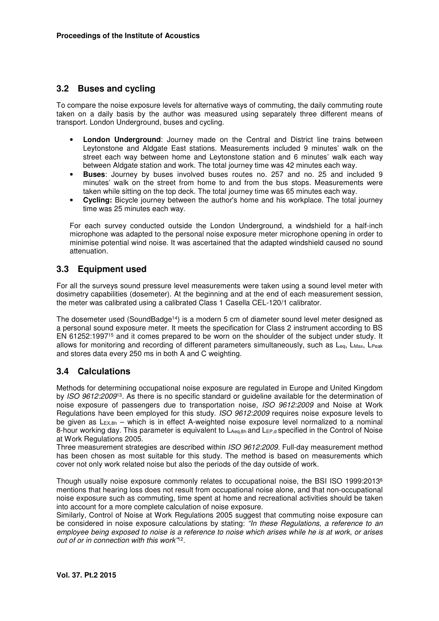### **3.2 Buses and cycling**

To compare the noise exposure levels for alternative ways of commuting, the daily commuting route taken on a daily basis by the author was measured using separately three different means of transport. London Underground, buses and cycling.

- **London Underground**: Journey made on the Central and District line trains between Leytonstone and Aldgate East stations. Measurements included 9 minutes' walk on the street each way between home and Leytonstone station and 6 minutes' walk each way between Aldgate station and work. The total journey time was 42 minutes each way.
- **Buses**: Journey by buses involved buses routes no. 257 and no. 25 and included 9 minutes' walk on the street from home to and from the bus stops. Measurements were taken while sitting on the top deck. The total journey time was 65 minutes each way.
- **Cycling:** Bicycle journey between the author's home and his workplace. The total journey time was 25 minutes each way.

For each survey conducted outside the London Underground, a windshield for a half-inch microphone was adapted to the personal noise exposure meter microphone opening in order to minimise potential wind noise. It was ascertained that the adapted windshield caused no sound attenuation.

### **3.3 Equipment used**

For all the surveys sound pressure level measurements were taken using a sound level meter with dosimetry capabilities (dosemeter). At the beginning and at the end of each measurement session, the meter was calibrated using a calibrated Class 1 Casella CEL-120/1 calibrator.

The dosemeter used (SoundBadge<sup>14</sup>) is a modern 5 cm of diameter sound level meter designed as a personal sound exposure meter. It meets the specification for Class 2 instrument according to BS EN 61252:1997<sup>15</sup> and it comes prepared to be worn on the shoulder of the subject under study. It allows for monitoring and recording of different parameters simultaneously, such as  $L_{eq}$ ,  $L_{\text{Max}}$ ,  $L_{\text{Peak}}$ and stores data every 250 ms in both A and C weighting.

#### **3.4 Calculations**

Methods for determining occupational noise exposure are regulated in Europe and United Kingdom by *ISO 9612:2009*<sup>13</sup>. As there is no specific standard or guideline available for the determination of noise exposure of passengers due to transportation noise, *ISO 9612:2009* and Noise at Work Regulations have been employed for this study. *ISO 9612:2009* requires noise exposure levels to be given as  $L_{EX,8h}$  – which is in effect A-weighted noise exposure level normalized to a nominal 8-hour working day. This parameter is equivalent to LAeq,8h and L<sub>EP,d</sub> specified in the Control of Noise at Work Regulations 2005.

Three measurement strategies are described within *ISO 9612:2009.* Full-day measurement method has been chosen as most suitable for this study. The method is based on measurements which cover not only work related noise but also the periods of the day outside of work.

Though usually noise exposure commonly relates to occupational noise, the BSI ISO 1999:2013<sup>6</sup> mentions that hearing loss does not result from occupational noise alone, and that non-occupational noise exposure such as commuting, time spent at home and recreational activities should be taken into account for a more complete calculation of noise exposure.

Similarly, Control of Noise at Work Regulations 2005 suggest that commuting noise exposure can be considered in noise exposure calculations by stating: *"In these Regulations, a reference to an employee being exposed to noise is a reference to noise which arises while he is at work, or arises out of or in connection with this work"*<sup>12</sup> .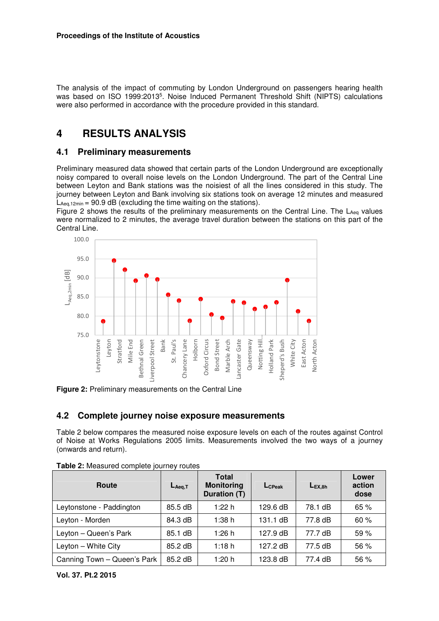The analysis of the impact of commuting by London Underground on passengers hearing health was based on ISO 1999:2013<sup>5</sup>. Noise Induced Permanent Threshold Shift (NIPTS) calculations were also performed in accordance with the procedure provided in this standard.

## **4 RESULTS ANALYSIS**

#### **4.1 Preliminary measurements**

Preliminary measured data showed that certain parts of the London Underground are exceptionally noisy compared to overall noise levels on the London Underground. The part of the Central Line between Leyton and Bank stations was the noisiest of all the lines considered in this study. The journey between Leyton and Bank involving six stations took on average 12 minutes and measured  $L_{\text{Aea.12min}} = 90.9 \text{ dB}$  (excluding the time waiting on the stations).

Figure 2 shows the results of the preliminary measurements on the Central Line. The LAeq values were normalized to 2 minutes, the average travel duration between the stations on this part of the Central Line.



**Figure 2:** Preliminary measurements on the Central Line

#### **4.2 Complete journey noise exposure measurements**

Table 2 below compares the measured noise exposure levels on each of the routes against Control of Noise at Works Regulations 2005 limits. Measurements involved the two ways of a journey (onwards and return).

| Route                       | $L_{Aeq,T}$ | <b>Total</b><br><b>Monitoring</b><br>Duration (T) | L <sub>C</sub> Peak | $L_{EX.8h}$ | Lower<br>action<br>dose |
|-----------------------------|-------------|---------------------------------------------------|---------------------|-------------|-------------------------|
| Leytonstone - Paddington    | 85.5 dB     | 1:22 h                                            | 129.6 dB            | 78.1 dB     | 65 %                    |
| Leyton - Morden             | 84.3 dB     | 1:38h                                             | 131.1 dB            | 77.8 dB     | 60 %                    |
| Leyton - Queen's Park       | 85.1 dB     | 1:26h                                             | 127.9 dB            | 77.7 dB     | 59%                     |
| Leyton - White City         | 85.2 dB     | 1:18h                                             | 127.2 dB            | 77.5 dB     | 56 %                    |
| Canning Town - Queen's Park | 85.2 dB     | 1:20 h                                            | 123.8 dB            | 77.4 dB     | 56 %                    |

**Table 2:** Measured complete journey routes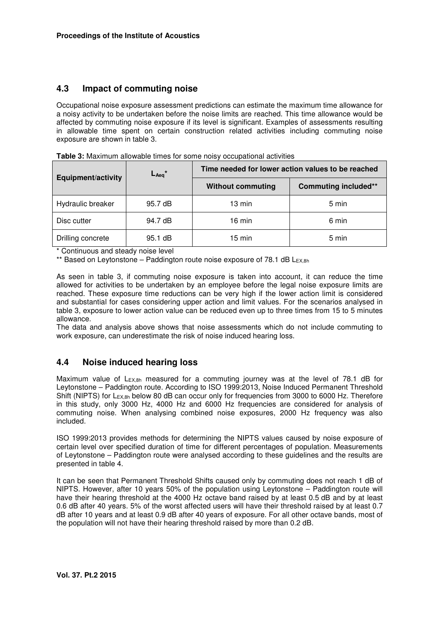### **4.3 Impact of commuting noise**

Occupational noise exposure assessment predictions can estimate the maximum time allowance for a noisy activity to be undertaken before the noise limits are reached. This time allowance would be affected by commuting noise exposure if its level is significant. Examples of assessments resulting in allowable time spent on certain construction related activities including commuting noise exposure are shown in table 3.

**Table 3:** Maximum allowable times for some noisy occupational activities

| $L_{Aeq}$ <sup>*</sup><br><b>Equipment/activity</b> |                   | Time needed for lower action values to be reached |                             |  |  |
|-----------------------------------------------------|-------------------|---------------------------------------------------|-----------------------------|--|--|
|                                                     |                   | <b>Without commuting</b>                          | <b>Commuting included**</b> |  |  |
| Hydraulic breaker                                   | 95.7 dB           | 13 min                                            | 5 min                       |  |  |
| Disc cutter                                         | 94.7 dB           | $16 \text{ min}$                                  | 6 min                       |  |  |
| Drilling concrete                                   | $95.1 \text{ dB}$ | $15 \text{ min}$                                  | 5 min                       |  |  |

\* Continuous and steady noise level

\*\* Based on Leytonstone - Paddington route noise exposure of 78.1 dB LEX,8h

As seen in table 3, if commuting noise exposure is taken into account, it can reduce the time allowed for activities to be undertaken by an employee before the legal noise exposure limits are reached. These exposure time reductions can be very high if the lower action limit is considered and substantial for cases considering upper action and limit values. For the scenarios analysed in table 3, exposure to lower action value can be reduced even up to three times from 15 to 5 minutes allowance.

The data and analysis above shows that noise assessments which do not include commuting to work exposure, can underestimate the risk of noise induced hearing loss.

#### **4.4 Noise induced hearing loss**

Maximum value of  $L_{Ex,8h}$  measured for a commuting journey was at the level of 78.1 dB for Leytonstone – Paddington route. According to ISO 1999:2013, Noise Induced Permanent Threshold Shift (NIPTS) for L<sub>EX,8h</sub> below 80 dB can occur only for frequencies from 3000 to 6000 Hz. Therefore in this study, only 3000 Hz, 4000 Hz and 6000 Hz frequencies are considered for analysis of commuting noise. When analysing combined noise exposures, 2000 Hz frequency was also included.

ISO 1999:2013 provides methods for determining the NIPTS values caused by noise exposure of certain level over specified duration of time for different percentages of population. Measurements of Leytonstone – Paddington route were analysed according to these guidelines and the results are presented in table 4.

It can be seen that Permanent Threshold Shifts caused only by commuting does not reach 1 dB of NIPTS. However, after 10 years 50% of the population using Leytonstone – Paddington route will have their hearing threshold at the 4000 Hz octave band raised by at least 0.5 dB and by at least 0.6 dB after 40 years. 5% of the worst affected users will have their threshold raised by at least 0.7 dB after 10 years and at least 0.9 dB after 40 years of exposure. For all other octave bands, most of the population will not have their hearing threshold raised by more than 0.2 dB.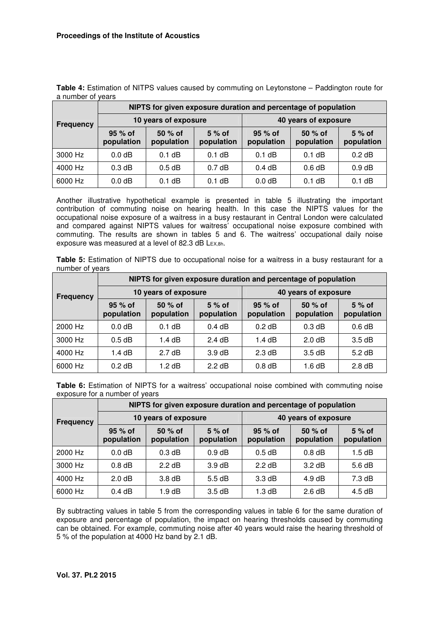|                  | NIPTS for given exposure duration and percentage of population |                        |                       |                        |                        |                       |  |
|------------------|----------------------------------------------------------------|------------------------|-----------------------|------------------------|------------------------|-----------------------|--|
| <b>Frequency</b> |                                                                | 10 years of exposure   |                       | 40 years of exposure   |                        |                       |  |
|                  | 95 % of<br>population                                          | $50%$ of<br>population | $5%$ of<br>population | $95%$ of<br>population | $50%$ of<br>population | $5%$ of<br>population |  |
| 3000 Hz          | $0.0$ dB                                                       | $0.1$ dB               | $0.1$ dB              | $0.1$ dB               | $0.1$ dB               | $0.2$ dB              |  |
| 4000 Hz          | 0.3 dB                                                         | $0.5$ dB               | 0.7 dB                | 0.4 dB                 | 0.6 dB                 | 0.9 dB                |  |
| 6000 Hz          | 0.0 <sub>d</sub> B                                             | $0.1$ dB               | $0.1$ dB              | $0.0$ dB               | $0.1$ dB               | $0.1$ dB              |  |

**Table 4:** Estimation of NITPS values caused by commuting on Leytonstone – Paddington route for a number of years

Another illustrative hypothetical example is presented in table 5 illustrating the important contribution of commuting noise on hearing health. In this case the NIPTS values for the occupational noise exposure of a waitress in a busy restaurant in Central London were calculated and compared against NIPTS values for waitress' occupational noise exposure combined with commuting. The results are shown in tables 5 and 6. The waitress' occupational daily noise exposure was measured at a level of 82.3 dB LEX,8h.

**Table 5:** Estimation of NIPTS due to occupational noise for a waitress in a busy restaurant for a number of years

|                  | NIPTS for given exposure duration and percentage of population |                        |                       |                       |                       |                       |  |  |
|------------------|----------------------------------------------------------------|------------------------|-----------------------|-----------------------|-----------------------|-----------------------|--|--|
| <b>Frequency</b> |                                                                | 10 years of exposure   |                       | 40 years of exposure  |                       |                       |  |  |
|                  | $95%$ of<br>population                                         | $50%$ of<br>population | $5%$ of<br>population | 95 % of<br>population | 50 % of<br>population | $5%$ of<br>population |  |  |
| 2000 Hz          | 0.0 <sub>d</sub> B                                             | $0.1$ dB               | 0.4dB                 | $0.2$ dB              | 0.3 dB                | $0.6$ dB              |  |  |
| 3000 Hz          | $0.5$ dB                                                       | 1.4 dB                 | 2.4 dB                | 1.4 dB                | 2.0 dB                | 3.5dB                 |  |  |
| 4000 Hz          | 1.4 dB                                                         | 2.7 dB                 | $3.9 \text{ dB}$      | 2.3 dB                | 3.5dB                 | 5.2 dB                |  |  |
| 6000 Hz          | $0.2$ dB                                                       | 1.2 dB                 | 2.2 dB                | $0.8$ dB              | 1.6 dB                | 2.8 dB                |  |  |

**Table 6:** Estimation of NIPTS for a waitress' occupational noise combined with commuting noise exposure for a number of years

|                  | NIPTS for given exposure duration and percentage of population |                        |                       |                        |                       |                       |  |
|------------------|----------------------------------------------------------------|------------------------|-----------------------|------------------------|-----------------------|-----------------------|--|
| <b>Frequency</b> | 10 years of exposure                                           |                        |                       | 40 years of exposure   |                       |                       |  |
|                  | $95%$ of<br>population                                         | $50%$ of<br>population | $5%$ of<br>population | $95%$ of<br>population | 50 % of<br>population | $5%$ of<br>population |  |
| 2000 Hz          | 0.0 <sub>d</sub> B                                             | 0.3 dB                 | 0.9 dB                | $0.5$ dB               | $0.8$ dB              | 1.5dB                 |  |
| 3000 Hz          | $0.8$ dB                                                       | 2.2 dB                 | $3.9 \text{ dB}$      | $2.2$ dB               | $3.2 \text{ dB}$      | $5.6 \, \text{dB}$    |  |
| 4000 Hz          | 2.0 dB                                                         | $3.8\,\mathrm{dB}$     | 5.5 dB                | $3.3 \text{ dB}$       | 4.9 dB                | 7.3 dB                |  |
| 6000 Hz          | 0.4 dB                                                         | 1.9 dB                 | 3.5dB                 | $1.3 \text{ dB}$       | 2.6 dB                | $4.5 \text{ dB}$      |  |

By subtracting values in table 5 from the corresponding values in table 6 for the same duration of exposure and percentage of population, the impact on hearing thresholds caused by commuting can be obtained. For example, commuting noise after 40 years would raise the hearing threshold of 5 % of the population at 4000 Hz band by 2.1 dB.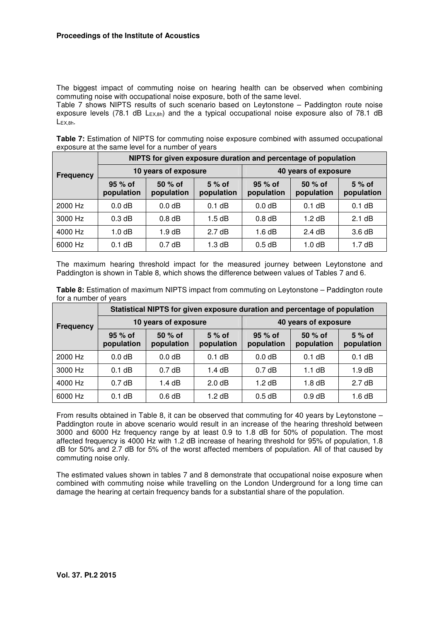The biggest impact of commuting noise on hearing health can be observed when combining commuting noise with occupational noise exposure, both of the same level.

Table 7 shows NIPTS results of such scenario based on Leytonstone – Paddington route noise exposure levels (78.1 dB L<sub>EX,8h</sub>) and the a typical occupational noise exposure also of 78.1 dB LEX,8h.

**Table 7:** Estimation of NIPTS for commuting noise exposure combined with assumed occupational exposure at the same level for a number of years

|           | NIPTS for given exposure duration and percentage of population |                       |                       |                        |                       |                       |  |  |
|-----------|----------------------------------------------------------------|-----------------------|-----------------------|------------------------|-----------------------|-----------------------|--|--|
| Frequency |                                                                | 10 years of exposure  |                       | 40 years of exposure   |                       |                       |  |  |
|           | $95%$ of<br>population                                         | 50 % of<br>population | $5%$ of<br>population | $95%$ of<br>population | 50 % of<br>population | $5%$ of<br>population |  |  |
| 2000 Hz   | 0.0 <sub>d</sub> B                                             | 0.0 dB                | $0.1$ dB              | 0.0 <sub>d</sub> B     | $0.1$ dB              | $0.1$ dB              |  |  |
| 3000 Hz   | 0.3 dB                                                         | $0.8$ dB              | $1.5$ dB              | $0.8$ dB               | 1.2 dB                | 2.1 dB                |  |  |
| 4000 Hz   | 1.0 <sub>d</sub> B                                             | 1.9 dB                | 2.7 dB                | 1.6 $dB$               | 2.4 dB                | 3.6 dB                |  |  |
| 6000 Hz   | $0.1$ dB                                                       | 0.7 dB                | 1.3 dB                | $0.5$ dB               | 1.0 <sub>d</sub> B    | 1.7dB                 |  |  |

The maximum hearing threshold impact for the measured journey between Leytonstone and Paddington is shown in Table 8, which shows the difference between values of Tables 7 and 6.

|                       | Table 8: Estimation of maximum NIPTS impact from commuting on Leytonstone - Paddington route |  |  |
|-----------------------|----------------------------------------------------------------------------------------------|--|--|
| for a number of years |                                                                                              |  |  |

|                  | Statistical NIPTS for given exposure duration and percentage of population |                        |                       |                        |                        |                       |  |
|------------------|----------------------------------------------------------------------------|------------------------|-----------------------|------------------------|------------------------|-----------------------|--|
| <b>Frequency</b> |                                                                            | 10 years of exposure   |                       | 40 years of exposure   |                        |                       |  |
|                  | $95%$ of<br>population                                                     | $50%$ of<br>population | $5%$ of<br>population | $95%$ of<br>population | $50%$ of<br>population | $5%$ of<br>population |  |
| 2000 Hz          | 0.0 <sub>d</sub> B                                                         | $0.0$ dB               | $0.1$ dB              | 0.0 <sub>d</sub> B     | $0.1$ dB               | $0.1$ dB              |  |
| 3000 Hz          | $0.1$ dB                                                                   | 0.7 dB                 | 1.4 $dB$              | 0.7dB                  | $1.1$ dB               | $1.9 \text{ dB}$      |  |
| 4000 Hz          | 0.7dB                                                                      | 1.4 $dB$               | 2.0 dB                | 1.2 dB                 | $1.8$ dB               | 2.7 dB                |  |
| 6000 Hz          | $0.1$ dB                                                                   | $0.6$ dB               | 1.2 $dB$              | $0.5$ dB               | 0.9 dB                 | 1.6 dB                |  |

From results obtained in Table 8, it can be observed that commuting for 40 years by Leytonstone – Paddington route in above scenario would result in an increase of the hearing threshold between 3000 and 6000 Hz frequency range by at least 0.9 to 1.8 dB for 50% of population. The most affected frequency is 4000 Hz with 1.2 dB increase of hearing threshold for 95% of population, 1.8 dB for 50% and 2.7 dB for 5% of the worst affected members of population. All of that caused by commuting noise only.

The estimated values shown in tables 7 and 8 demonstrate that occupational noise exposure when combined with commuting noise while travelling on the London Underground for a long time can damage the hearing at certain frequency bands for a substantial share of the population.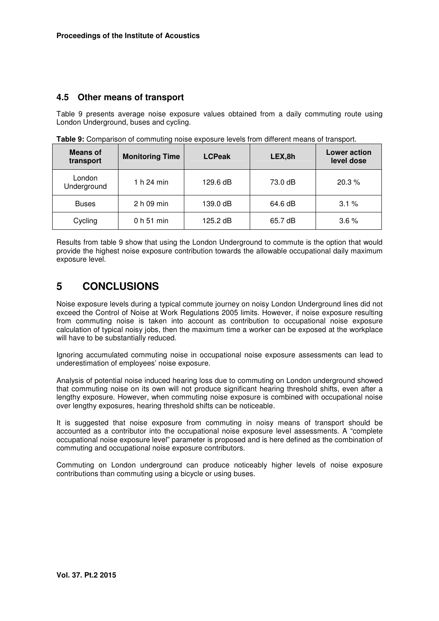#### **4.5 Other means of transport**

Table 9 presents average noise exposure values obtained from a daily commuting route using London Underground, buses and cycling.

| <b>Means of</b><br>transport | <b>Monitoring Time</b> | <b>LCPeak</b> | LEX,8h  | Lower action<br>level dose |
|------------------------------|------------------------|---------------|---------|----------------------------|
| London<br>Underground        | 1 h 24 min             | 129.6 dB      | 73.0 dB | 20.3%                      |
| <b>Buses</b>                 | 2 h 09 min             | 139.0 dB      | 64.6 dB | 3.1%                       |
| Cycling                      | 0 <sub>h</sub> 51 min  | 125.2 dB      | 65.7 dB | $3.6\%$                    |

**Table 9:** Comparison of commuting noise exposure levels from different means of transport.

Results from table 9 show that using the London Underground to commute is the option that would provide the highest noise exposure contribution towards the allowable occupational daily maximum exposure level.

## **5 CONCLUSIONS**

Noise exposure levels during a typical commute journey on noisy London Underground lines did not exceed the Control of Noise at Work Regulations 2005 limits. However, if noise exposure resulting from commuting noise is taken into account as contribution to occupational noise exposure calculation of typical noisy jobs, then the maximum time a worker can be exposed at the workplace will have to be substantially reduced.

Ignoring accumulated commuting noise in occupational noise exposure assessments can lead to underestimation of employees' noise exposure.

Analysis of potential noise induced hearing loss due to commuting on London underground showed that commuting noise on its own will not produce significant hearing threshold shifts, even after a lengthy exposure. However, when commuting noise exposure is combined with occupational noise over lengthy exposures, hearing threshold shifts can be noticeable.

It is suggested that noise exposure from commuting in noisy means of transport should be accounted as a contributor into the occupational noise exposure level assessments. A "complete occupational noise exposure level" parameter is proposed and is here defined as the combination of commuting and occupational noise exposure contributors.

Commuting on London underground can produce noticeably higher levels of noise exposure contributions than commuting using a bicycle or using buses.